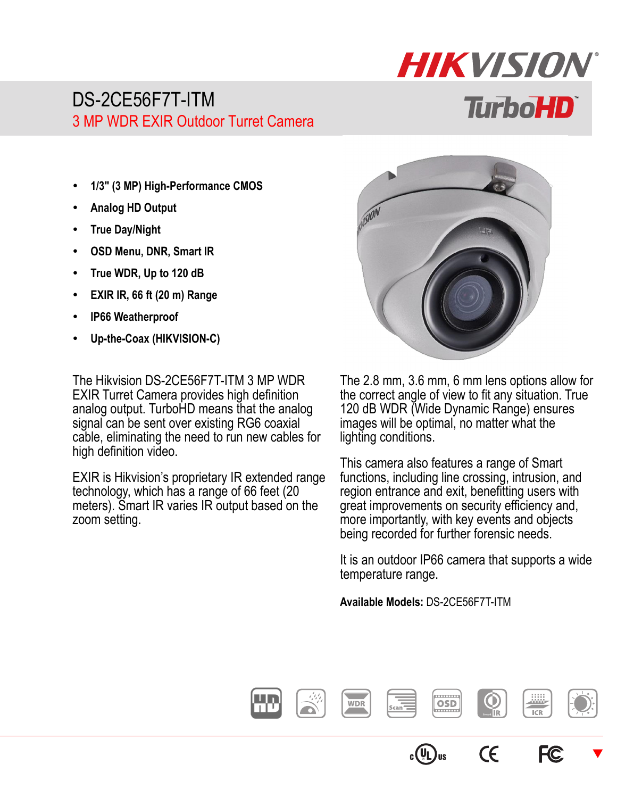## DS-2CE56F7T-ITM 3 MP WDR EXIR Outdoor Turret Camera

- **1/3" (3 MP) High-Performance CMOS**
- **Analog HD Output**
- **True Day/Night**
- **OSD Menu, DNR, Smart IR**
- **True WDR, Up to 120 dB**
- **EXIR IR, 66 ft (20 m) Range**
- **IP66 Weatherproof**
- **Up-the-Coax (HIKVISION-C)**

The Hikvision DS-2CE56F7T-ITM 3 MP WDR EXIR Turret Camera provides high definition analog output. TurboHD means that the analog signal can be sent over existing RG6 coaxial cable, eliminating the need to run new cables for high definition video.

EXIR is Hikvision's proprietary IR extended range technology, which has a range of 66 feet (20 meters). Smart IR varies IR output based on the zoom setting.



**HIKVISION** 

**TurboHD** 

The 2.8 mm, 3.6 mm, 6 mm lens options allow for the correct angle of view to fit any situation. True 120 dB WDR (Wide Dynamic Range) ensures images will be optimal, no matter what the lighting conditions.

This camera also features a range of Smart functions, including line crossing, intrusion, and region entrance and exit, benefitting users with great improvements on security efficiency and, more importantly, with key events and objects being recorded for further forensic needs.

It is an outdoor IP66 camera that supports a wide temperature range.

**Available Models:** DS-2CE56F7T-ITM